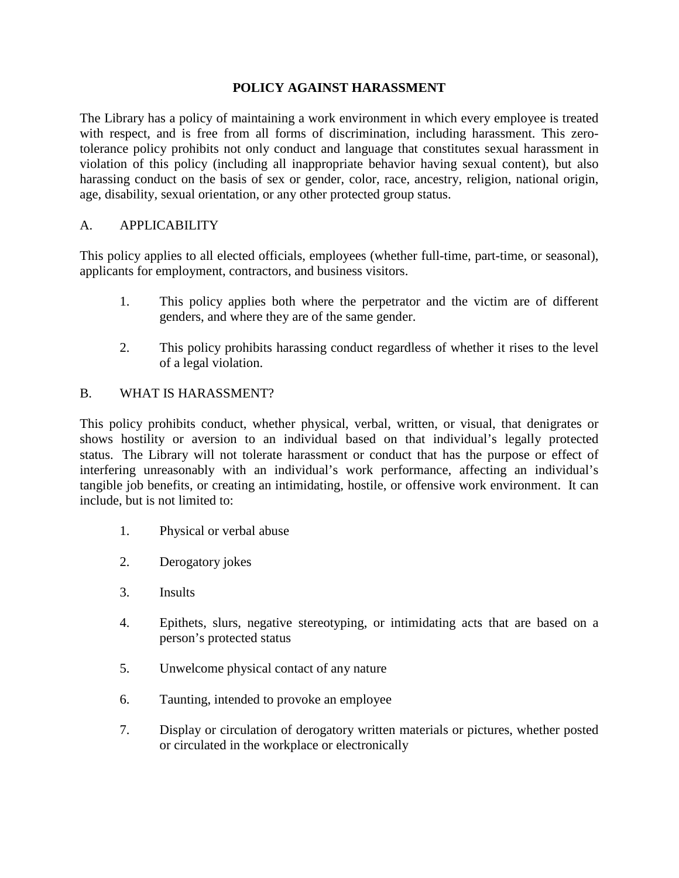### **POLICY AGAINST HARASSMENT**

The Library has a policy of maintaining a work environment in which every employee is treated with respect, and is free from all forms of discrimination, including harassment. This zerotolerance policy prohibits not only conduct and language that constitutes sexual harassment in violation of this policy (including all inappropriate behavior having sexual content), but also harassing conduct on the basis of sex or gender, color, race, ancestry, religion, national origin, age, disability, sexual orientation, or any other protected group status.

### A. APPLICABILITY

This policy applies to all elected officials, employees (whether full-time, part-time, or seasonal), applicants for employment, contractors, and business visitors.

- 1. This policy applies both where the perpetrator and the victim are of different genders, and where they are of the same gender.
- 2. This policy prohibits harassing conduct regardless of whether it rises to the level of a legal violation.

### B. WHAT IS HARASSMENT?

This policy prohibits conduct, whether physical, verbal, written, or visual, that denigrates or shows hostility or aversion to an individual based on that individual's legally protected status. The Library will not tolerate harassment or conduct that has the purpose or effect of interfering unreasonably with an individual's work performance, affecting an individual's tangible job benefits, or creating an intimidating, hostile, or offensive work environment. It can include, but is not limited to:

- 1. Physical or verbal abuse
- 2. Derogatory jokes
- 3. Insults
- 4. Epithets, slurs, negative stereotyping, or intimidating acts that are based on a person's protected status
- 5. Unwelcome physical contact of any nature
- 6. Taunting, intended to provoke an employee
- 7. Display or circulation of derogatory written materials or pictures, whether posted or circulated in the workplace or electronically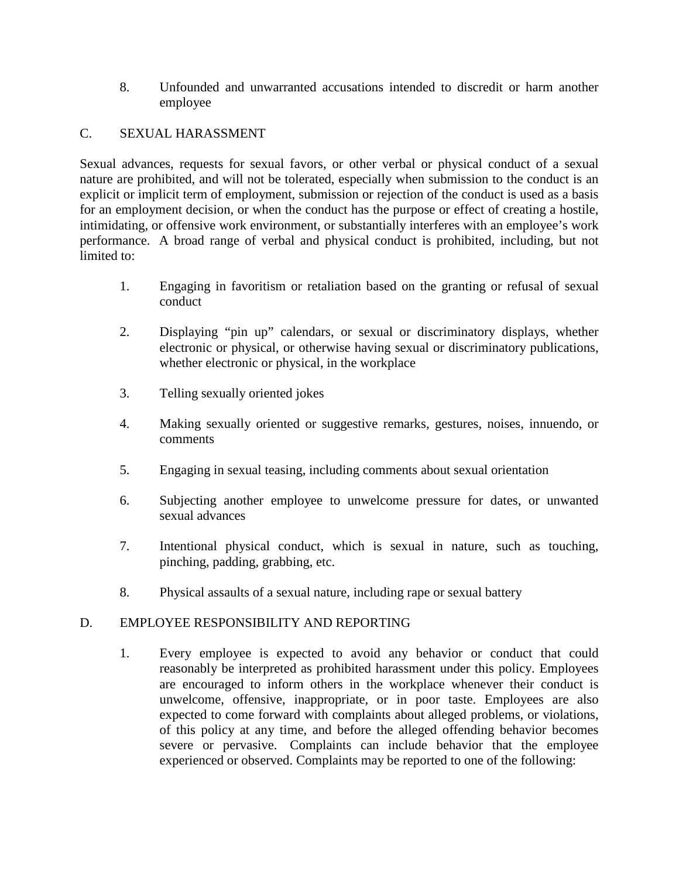8. Unfounded and unwarranted accusations intended to discredit or harm another employee

### C. SEXUAL HARASSMENT

Sexual advances, requests for sexual favors, or other verbal or physical conduct of a sexual nature are prohibited, and will not be tolerated, especially when submission to the conduct is an explicit or implicit term of employment, submission or rejection of the conduct is used as a basis for an employment decision, or when the conduct has the purpose or effect of creating a hostile, intimidating, or offensive work environment, or substantially interferes with an employee's work performance. A broad range of verbal and physical conduct is prohibited, including, but not limited to:

- 1. Engaging in favoritism or retaliation based on the granting or refusal of sexual conduct
- 2. Displaying "pin up" calendars, or sexual or discriminatory displays, whether electronic or physical, or otherwise having sexual or discriminatory publications, whether electronic or physical, in the workplace
- 3. Telling sexually oriented jokes
- 4. Making sexually oriented or suggestive remarks, gestures, noises, innuendo, or comments
- 5. Engaging in sexual teasing, including comments about sexual orientation
- 6. Subjecting another employee to unwelcome pressure for dates, or unwanted sexual advances
- 7. Intentional physical conduct, which is sexual in nature, such as touching, pinching, padding, grabbing, etc.
- 8. Physical assaults of a sexual nature, including rape or sexual battery

# D. EMPLOYEE RESPONSIBILITY AND REPORTING

1. Every employee is expected to avoid any behavior or conduct that could reasonably be interpreted as prohibited harassment under this policy. Employees are encouraged to inform others in the workplace whenever their conduct is unwelcome, offensive, inappropriate, or in poor taste. Employees are also expected to come forward with complaints about alleged problems, or violations, of this policy at any time, and before the alleged offending behavior becomes severe or pervasive. Complaints can include behavior that the employee experienced or observed. Complaints may be reported to one of the following: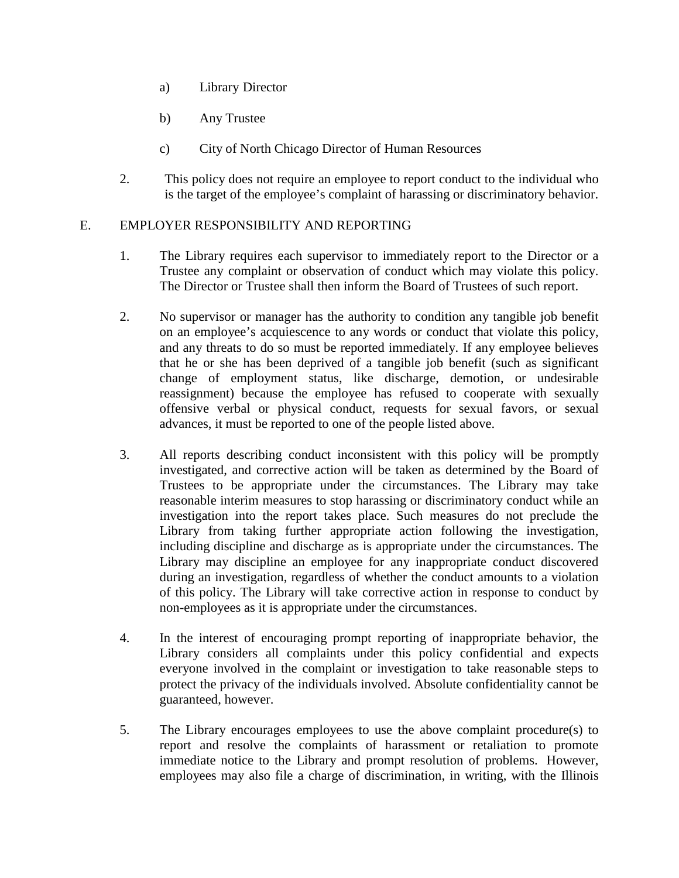- a) Library Director
- b) Any Trustee
- c) City of North Chicago Director of Human Resources
- 2. This policy does not require an employee to report conduct to the individual who is the target of the employee's complaint of harassing or discriminatory behavior.

### E. EMPLOYER RESPONSIBILITY AND REPORTING

- 1. The Library requires each supervisor to immediately report to the Director or a Trustee any complaint or observation of conduct which may violate this policy. The Director or Trustee shall then inform the Board of Trustees of such report.
- 2. No supervisor or manager has the authority to condition any tangible job benefit on an employee's acquiescence to any words or conduct that violate this policy, and any threats to do so must be reported immediately. If any employee believes that he or she has been deprived of a tangible job benefit (such as significant change of employment status, like discharge, demotion, or undesirable reassignment) because the employee has refused to cooperate with sexually offensive verbal or physical conduct, requests for sexual favors, or sexual advances, it must be reported to one of the people listed above.
- 3. All reports describing conduct inconsistent with this policy will be promptly investigated, and corrective action will be taken as determined by the Board of Trustees to be appropriate under the circumstances. The Library may take reasonable interim measures to stop harassing or discriminatory conduct while an investigation into the report takes place. Such measures do not preclude the Library from taking further appropriate action following the investigation, including discipline and discharge as is appropriate under the circumstances. The Library may discipline an employee for any inappropriate conduct discovered during an investigation, regardless of whether the conduct amounts to a violation of this policy. The Library will take corrective action in response to conduct by non-employees as it is appropriate under the circumstances.
- 4. In the interest of encouraging prompt reporting of inappropriate behavior, the Library considers all complaints under this policy confidential and expects everyone involved in the complaint or investigation to take reasonable steps to protect the privacy of the individuals involved. Absolute confidentiality cannot be guaranteed, however.
- 5. The Library encourages employees to use the above complaint procedure(s) to report and resolve the complaints of harassment or retaliation to promote immediate notice to the Library and prompt resolution of problems. However, employees may also file a charge of discrimination, in writing, with the Illinois